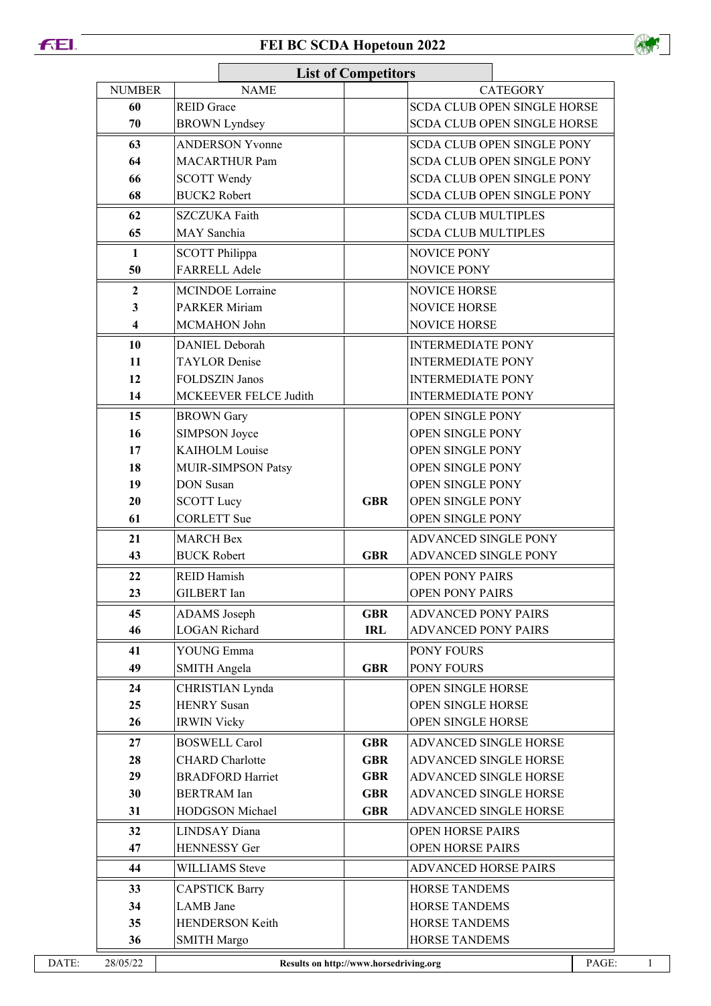## **FEL**

## **FEI BC SCDA Hopetoun 2022**



|               |                                             | <b>List of Competitors</b> |                                    |  |  |
|---------------|---------------------------------------------|----------------------------|------------------------------------|--|--|
| <b>NUMBER</b> | <b>NAME</b>                                 |                            | <b>CATEGORY</b>                    |  |  |
| 60            | <b>REID Grace</b>                           |                            | <b>SCDA CLUB OPEN SINGLE HORSE</b> |  |  |
| 70            | <b>BROWN</b> Lyndsey                        |                            | SCDA CLUB OPEN SINGLE HORSE        |  |  |
| 63            | <b>ANDERSON Yvonne</b>                      |                            | <b>SCDA CLUB OPEN SINGLE PONY</b>  |  |  |
| 64            | <b>MACARTHUR Pam</b>                        |                            | <b>SCDA CLUB OPEN SINGLE PONY</b>  |  |  |
| 66            | <b>SCOTT Wendy</b>                          |                            | SCDA CLUB OPEN SINGLE PONY         |  |  |
| 68            | <b>BUCK2</b> Robert                         |                            | <b>SCDA CLUB OPEN SINGLE PONY</b>  |  |  |
| 62            | <b>SZCZUKA Faith</b>                        |                            | <b>SCDA CLUB MULTIPLES</b>         |  |  |
| 65            | MAY Sanchia                                 |                            | <b>SCDA CLUB MULTIPLES</b>         |  |  |
| 1             | <b>SCOTT Philippa</b>                       |                            | NOVICE PONY                        |  |  |
| 50            | FARRELL Adele                               |                            | NOVICE PONY                        |  |  |
| $\mathbf{2}$  | <b>MCINDOE</b> Lorraine                     |                            | <b>NOVICE HORSE</b>                |  |  |
| 3             | <b>PARKER Miriam</b>                        |                            | <b>NOVICE HORSE</b>                |  |  |
| 4             | MCMAHON John                                |                            | <b>NOVICE HORSE</b>                |  |  |
| 10            | <b>DANIEL Deborah</b>                       |                            | <b>INTERMEDIATE PONY</b>           |  |  |
| 11            | <b>TAYLOR</b> Denise                        |                            | <b>INTERMEDIATE PONY</b>           |  |  |
| 12            | <b>FOLDSZIN Janos</b>                       |                            | <b>INTERMEDIATE PONY</b>           |  |  |
| 14            | MCKEEVER FELCE Judith                       |                            | <b>INTERMEDIATE PONY</b>           |  |  |
| 15            | <b>BROWN</b> Gary                           |                            | OPEN SINGLE PONY                   |  |  |
| 16            | SIMPSON Joyce                               |                            | OPEN SINGLE PONY                   |  |  |
| 17            | <b>KAIHOLM Louise</b>                       |                            | OPEN SINGLE PONY                   |  |  |
| 18            | MUIR-SIMPSON Patsy                          |                            | OPEN SINGLE PONY                   |  |  |
| 19            | <b>DON</b> Susan                            |                            | OPEN SINGLE PONY                   |  |  |
| 20            | <b>SCOTT Lucy</b>                           | <b>GBR</b>                 | OPEN SINGLE PONY                   |  |  |
| 61            | <b>CORLETT</b> Sue                          |                            | OPEN SINGLE PONY                   |  |  |
| 21            | <b>MARCH Bex</b>                            |                            | <b>ADVANCED SINGLE PONY</b>        |  |  |
| 43            | <b>BUCK Robert</b>                          | <b>GBR</b>                 | <b>ADVANCED SINGLE PONY</b>        |  |  |
| 22            | <b>REID Hamish</b>                          |                            | <b>OPEN PONY PAIRS</b>             |  |  |
| 23            | <b>GILBERT</b> Ian                          |                            | <b>OPEN PONY PAIRS</b>             |  |  |
|               |                                             |                            |                                    |  |  |
| 45<br>46      | <b>ADAMS</b> Joseph<br><b>LOGAN Richard</b> | <b>GBR</b><br><b>IRL</b>   | <b>ADVANCED PONY PAIRS</b>         |  |  |
|               |                                             |                            | <b>ADVANCED PONY PAIRS</b>         |  |  |
| 41            | <b>YOUNG Emma</b>                           |                            | PONY FOURS                         |  |  |
| 49            | <b>SMITH Angela</b>                         | <b>GBR</b>                 | PONY FOURS                         |  |  |
| 24            | CHRISTIAN Lynda                             |                            | OPEN SINGLE HORSE                  |  |  |
| 25            | <b>HENRY</b> Susan                          |                            | OPEN SINGLE HORSE                  |  |  |
| 26            | <b>IRWIN Vicky</b>                          |                            | OPEN SINGLE HORSE                  |  |  |
| 27            | <b>BOSWELL Carol</b>                        | <b>GBR</b>                 | ADVANCED SINGLE HORSE              |  |  |
| 28            | <b>CHARD</b> Charlotte                      | <b>GBR</b>                 | ADVANCED SINGLE HORSE              |  |  |
| 29            | <b>BRADFORD Harriet</b>                     | <b>GBR</b>                 | ADVANCED SINGLE HORSE              |  |  |
| 30            | <b>BERTRAM</b> Ian                          | <b>GBR</b>                 | ADVANCED SINGLE HORSE              |  |  |
| 31            | HODGSON Michael                             | <b>GBR</b>                 | ADVANCED SINGLE HORSE              |  |  |
| 32            | <b>LINDSAY</b> Diana                        |                            | <b>OPEN HORSE PAIRS</b>            |  |  |
| 47            | <b>HENNESSY</b> Ger                         |                            | <b>OPEN HORSE PAIRS</b>            |  |  |
| 44            | <b>WILLIAMS</b> Steve                       |                            | <b>ADVANCED HORSE PAIRS</b>        |  |  |
| 33            | <b>CAPSTICK Barry</b>                       |                            | <b>HORSE TANDEMS</b>               |  |  |
| 34            | <b>LAMB</b> Jane                            |                            | <b>HORSE TANDEMS</b>               |  |  |
| 35            | <b>HENDERSON Keith</b>                      |                            | <b>HORSE TANDEMS</b>               |  |  |
| 36            | <b>SMITH Margo</b>                          |                            | <b>HORSE TANDEMS</b>               |  |  |
| 28/05/22      | Results on http://www.horsedriving.org      |                            | PAGE:                              |  |  |